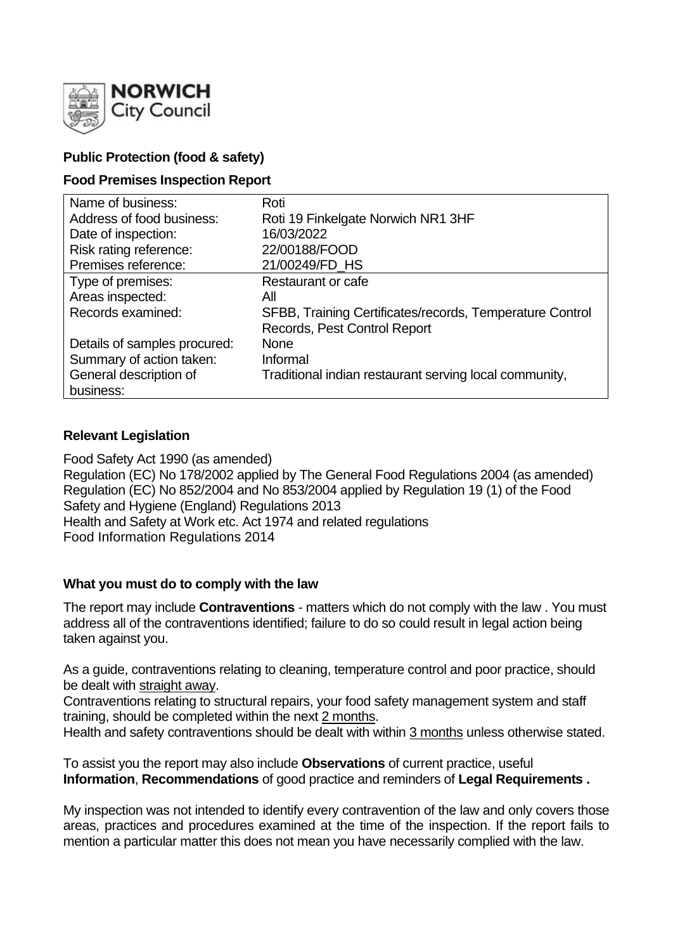

# **Public Protection (food & safety)**

## **Food Premises Inspection Report**

| Name of business:            | Roti                                                     |
|------------------------------|----------------------------------------------------------|
| Address of food business:    | Roti 19 Finkelgate Norwich NR1 3HF                       |
| Date of inspection:          | 16/03/2022                                               |
| Risk rating reference:       | 22/00188/FOOD                                            |
| Premises reference:          | 21/00249/FD_HS                                           |
| Type of premises:            | <b>Restaurant or cafe</b>                                |
| Areas inspected:             | All                                                      |
| Records examined:            | SFBB, Training Certificates/records, Temperature Control |
|                              | Records, Pest Control Report                             |
| Details of samples procured: | <b>None</b>                                              |
| Summary of action taken:     | Informal                                                 |
| General description of       | Traditional indian restaurant serving local community,   |
| business:                    |                                                          |

## **Relevant Legislation**

Food Safety Act 1990 (as amended) Regulation (EC) No 178/2002 applied by The General Food Regulations 2004 (as amended) Regulation (EC) No 852/2004 and No 853/2004 applied by Regulation 19 (1) of the Food Safety and Hygiene (England) Regulations 2013 Health and Safety at Work etc. Act 1974 and related regulations Food Information Regulations 2014

## **What you must do to comply with the law**

The report may include **Contraventions** - matters which do not comply with the law . You must address all of the contraventions identified; failure to do so could result in legal action being taken against you.

As a guide, contraventions relating to cleaning, temperature control and poor practice, should be dealt with straight away.

Contraventions relating to structural repairs, your food safety management system and staff training, should be completed within the next 2 months.

Health and safety contraventions should be dealt with within 3 months unless otherwise stated.

To assist you the report may also include **Observations** of current practice, useful **Information**, **Recommendations** of good practice and reminders of **Legal Requirements .**

My inspection was not intended to identify every contravention of the law and only covers those areas, practices and procedures examined at the time of the inspection. If the report fails to mention a particular matter this does not mean you have necessarily complied with the law.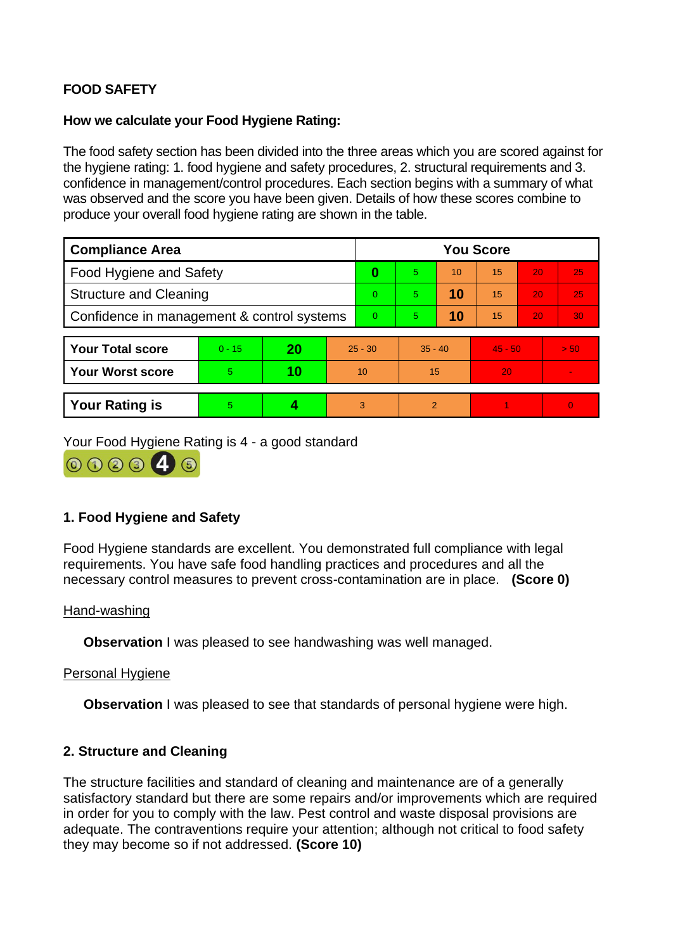# **FOOD SAFETY**

## **How we calculate your Food Hygiene Rating:**

The food safety section has been divided into the three areas which you are scored against for the hygiene rating: 1. food hygiene and safety procedures, 2. structural requirements and 3. confidence in management/control procedures. Each section begins with a summary of what was observed and the score you have been given. Details of how these scores combine to produce your overall food hygiene rating are shown in the table.

| <b>Compliance Area</b>                     |          |    |           | <b>You Score</b> |                |    |           |    |                |  |  |
|--------------------------------------------|----------|----|-----------|------------------|----------------|----|-----------|----|----------------|--|--|
| Food Hygiene and Safety                    |          |    |           | 0                | 5.             | 10 | 15        | 20 | 25             |  |  |
| <b>Structure and Cleaning</b>              |          |    |           | 0                | 5.             | 10 | 15        | 20 | 25             |  |  |
| Confidence in management & control systems |          |    | 0         | 5.               | 10             | 15 | 20        | 30 |                |  |  |
|                                            |          |    |           |                  |                |    |           |    |                |  |  |
| <b>Your Total score</b>                    | $0 - 15$ | 20 | $25 - 30$ |                  | $35 - 40$      |    | $45 - 50$ |    | > 50           |  |  |
| <b>Your Worst score</b>                    | 5        | 10 | 10        |                  | 15             |    | 20        |    |                |  |  |
|                                            |          |    |           |                  |                |    |           |    |                |  |  |
| <b>Your Rating is</b>                      | 5        |    |           | 3                | $\overline{2}$ |    |           |    | $\overline{0}$ |  |  |

Your Food Hygiene Rating is 4 - a good standard



## **1. Food Hygiene and Safety**

Food Hygiene standards are excellent. You demonstrated full compliance with legal requirements. You have safe food handling practices and procedures and all the necessary control measures to prevent cross-contamination are in place. **(Score 0)**

#### Hand-washing

**Observation** I was pleased to see handwashing was well managed.

#### Personal Hygiene

**Observation** I was pleased to see that standards of personal hygiene were high.

## **2. Structure and Cleaning**

The structure facilities and standard of cleaning and maintenance are of a generally satisfactory standard but there are some repairs and/or improvements which are required in order for you to comply with the law. Pest control and waste disposal provisions are adequate. The contraventions require your attention; although not critical to food safety they may become so if not addressed. **(Score 10)**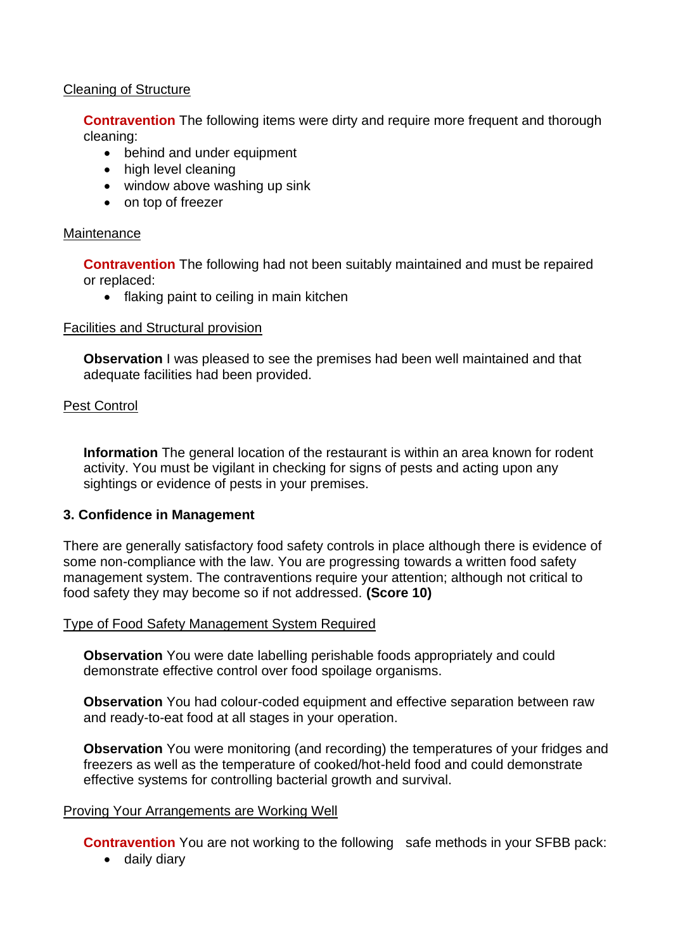## Cleaning of Structure

**Contravention** The following items were dirty and require more frequent and thorough cleaning:

- behind and under equipment
- high level cleaning
- window above washing up sink
- on top of freezer

## **Maintenance**

**Contravention** The following had not been suitably maintained and must be repaired or replaced:

• flaking paint to ceiling in main kitchen

## Facilities and Structural provision

**Observation** I was pleased to see the premises had been well maintained and that adequate facilities had been provided.

## Pest Control

**Information** The general location of the restaurant is within an area known for rodent activity. You must be vigilant in checking for signs of pests and acting upon any sightings or evidence of pests in your premises.

## **3. Confidence in Management**

There are generally satisfactory food safety controls in place although there is evidence of some non-compliance with the law. You are progressing towards a written food safety management system. The contraventions require your attention; although not critical to food safety they may become so if not addressed. **(Score 10)**

## Type of Food Safety Management System Required

**Observation** You were date labelling perishable foods appropriately and could demonstrate effective control over food spoilage organisms.

**Observation** You had colour-coded equipment and effective separation between raw and ready-to-eat food at all stages in your operation.

**Observation** You were monitoring (and recording) the temperatures of your fridges and freezers as well as the temperature of cooked/hot-held food and could demonstrate effective systems for controlling bacterial growth and survival.

## Proving Your Arrangements are Working Well

**Contravention** You are not working to the following safe methods in your SFBB pack:

• daily diary